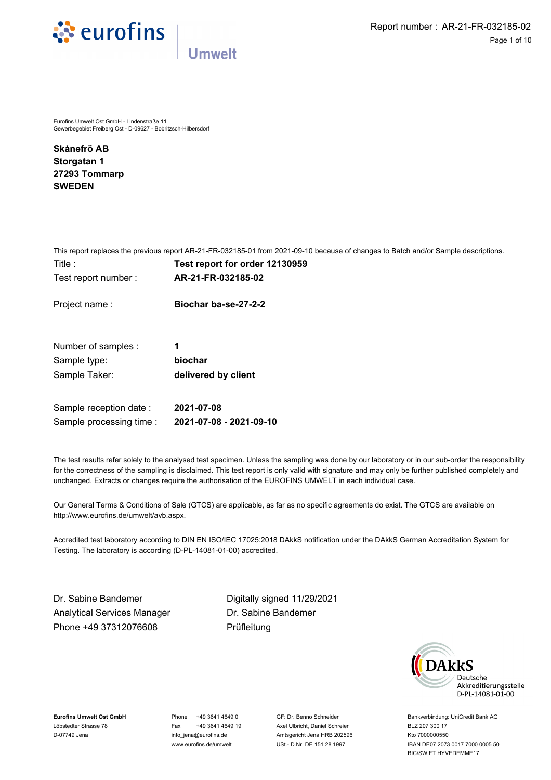

Eurofins Umwelt Ost GmbH - Lindenstraße 11 Gewerbegebiet Freiberg Ost - D-09627 - Bobritzsch-Hilbersdorf

**Skånefrö AB Storgatan 1 27293 Tommarp SWEDEN**

|                          | This report replaces the previous report AR-21-FR-032185-01 from 2021-09-10 because of changes to Batch and/or Sample descriptions. |
|--------------------------|-------------------------------------------------------------------------------------------------------------------------------------|
| Title :                  | Test report for order 12130959                                                                                                      |
| Test report number:      | AR-21-FR-032185-02                                                                                                                  |
| Project name:            | Biochar ba-se-27-2-2                                                                                                                |
| Number of samples :      | 1                                                                                                                                   |
| Sample type:             | biochar                                                                                                                             |
| Sample Taker:            | delivered by client                                                                                                                 |
| Sample reception date :  | 2021-07-08                                                                                                                          |
| Sample processing time : | 2021-07-08 - 2021-09-10                                                                                                             |

The test results refer solely to the analysed test specimen. Unless the sampling was done by our laboratory or in our sub-order the responsibility for the correctness of the sampling is disclaimed. This test report is only valid with signature and may only be further published completely and unchanged. Extracts or changes require the authorisation of the EUROFINS UMWELT in each individual case.

Our General Terms & Conditions of Sale (GTCS) are applicable, as far as no specific agreements do exist. The GTCS are available on http://www.eurofins.de/umwelt/avb.aspx.

Accredited test laboratory according to DIN EN ISO/IEC 17025:2018 DAkkS notification under the DAkkS German Accreditation System for Testing. The laboratory is according (D-PL-14081-01-00) accredited.

Dr. Sabine Bandemer Digitally signed 11/29/2021 Analytical Services Manager Phone +49 37312076608

Dr. Sabine Bandemer Prüfleitung



**Eurofins Umwelt Ost GmbH** Löbstedter Strasse 78 D-07749 Jena

Phone +49 3641 4649 0 Fax +49 3641 4649 19 info\_jena@eurofins.de www.eurofins.de/umwelt

GF: Dr. Benno Schneider Axel Ulbricht, Daniel Schreier Amtsgericht Jena HRB 202596 USt.-ID.Nr. DE 151 28 1997

Bankverbindung: UniCredit Bank AG BLZ 207 300 17 Kto 7000000550 IBAN DE07 2073 0017 7000 0005 50 BIC/SWIFT HYVEDEMME17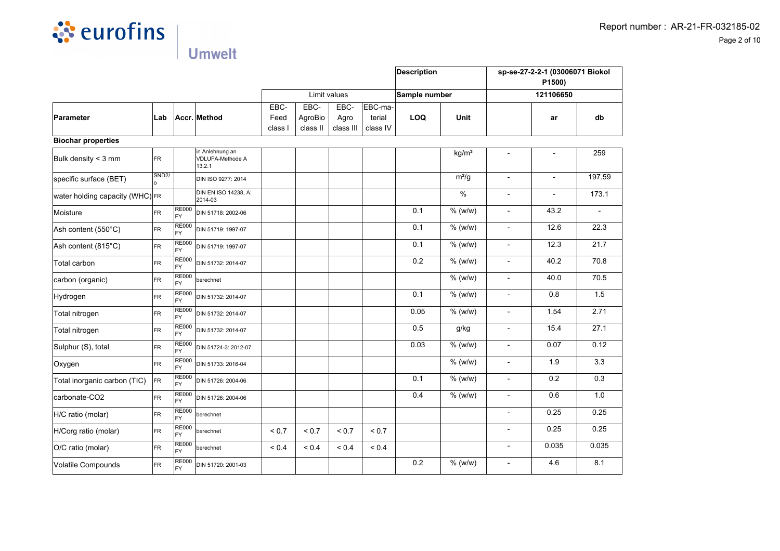

|                                 |                                  |                           |                                               |            |            |              |            | <b>Description</b> |                   | sp-se-27-2-2-1 (03006071 Biokol<br>P1500) |       |                          |  |
|---------------------------------|----------------------------------|---------------------------|-----------------------------------------------|------------|------------|--------------|------------|--------------------|-------------------|-------------------------------------------|-------|--------------------------|--|
|                                 |                                  |                           |                                               |            |            | Limit values |            | Sample number      |                   | 121106650                                 |       |                          |  |
|                                 |                                  |                           |                                               | EBC-       | EBC-       | EBC-         | EBC-ma-    |                    |                   |                                           |       |                          |  |
| Parameter                       | Lab                              |                           | Accr. Method                                  | Feed       | AgroBio    | Agro         | terial     | LOQ                | Unit              |                                           | ar    | db                       |  |
|                                 |                                  |                           |                                               | class I    | class II   | class III    | class IV   |                    |                   |                                           |       |                          |  |
| <b>Biochar properties</b>       |                                  |                           |                                               |            |            |              |            |                    |                   |                                           |       |                          |  |
| Bulk density < 3 mm             | FR.                              |                           | in Anlehnung an<br>VDLUFA-Methode A<br>13.2.1 |            |            |              |            |                    | kg/m <sup>3</sup> | $\blacksquare$                            |       | 259                      |  |
| specific surface (BET)          | SND <sub>2</sub> /<br>$\sqrt{2}$ |                           | DIN ISO 9277: 2014                            |            |            |              |            |                    | $m^2/g$           | $\blacksquare$                            |       | 197.59                   |  |
| water holding capacity (WHC) FR |                                  |                           | DIN EN ISO 14238, A:<br>2014-03               |            |            |              |            |                    | $\%$              | $\overline{a}$                            |       | 173.1                    |  |
| Moisture                        | FR.                              | <b>RE000</b><br><b>FY</b> | DIN 51718: 2002-06                            |            |            |              |            | 0.1                | $%$ (w/w)         | $\overline{a}$                            | 43.2  | $\overline{\phantom{a}}$ |  |
| Ash content (550°C)             | <b>FR</b>                        | <b>RE000</b><br><b>FY</b> | DIN 51719: 1997-07                            |            |            |              |            | 0.1                | $%$ (w/w)         | $\overline{\phantom{a}}$                  | 12.6  | 22.3                     |  |
| Ash content (815°C)             | FR                               | <b>RE000</b><br><b>FY</b> | DIN 51719: 1997-07                            |            |            |              |            | 0.1                | $%$ (w/w)         | $\blacksquare$                            | 12.3  | 21.7                     |  |
| Total carbon                    | <b>FR</b>                        | <b>RE000</b><br><b>FY</b> | DIN 51732: 2014-07                            |            |            |              |            | 0.2                | $%$ (w/w)         | $\overline{\phantom{a}}$                  | 40.2  | 70.8                     |  |
| carbon (organic)                | FR                               | <b>RE000</b><br>FY        | berechnet                                     |            |            |              |            |                    | $%$ (w/w)         | $\blacksquare$                            | 40.0  | 70.5                     |  |
| Hydrogen                        | <b>FR</b>                        | <b>RE000</b><br>FY        | DIN 51732: 2014-07                            |            |            |              |            | 0.1                | % (w/w)           | $\overline{\phantom{a}}$                  | 0.8   | 1.5                      |  |
| Total nitrogen                  | FR.                              | <b>RE000</b><br>FY        | DIN 51732: 2014-07                            |            |            |              |            | 0.05               | $%$ (w/w)         | $\blacksquare$                            | 1.54  | 2.71                     |  |
| Total nitrogen                  | <b>FR</b>                        | <b>RE000</b><br>FY.       | DIN 51732: 2014-07                            |            |            |              |            | 0.5                | g/kg              | $\blacksquare$                            | 15.4  | 27.1                     |  |
| Sulphur (S), total              | <b>FR</b>                        | <b>RE000</b><br><b>FY</b> | DIN 51724-3: 2012-07                          |            |            |              |            | 0.03               | $%$ (w/w)         | $\blacksquare$                            | 0.07  | 0.12                     |  |
| Oxygen                          | <b>FR</b>                        | <b>RE000</b><br><b>FY</b> | DIN 51733: 2016-04                            |            |            |              |            |                    | $%$ (w/w)         | $\blacksquare$                            | 1.9   | 3.3                      |  |
| Total inorganic carbon (TIC)    | FR                               | <b>RE000</b><br>FY        | DIN 51726: 2004-06                            |            |            |              |            | 0.1                | $%$ (w/w)         | $\blacksquare$                            | 0.2   | 0.3                      |  |
| carbonate-CO2                   | <b>FR</b>                        | <b>RE000</b><br><b>FY</b> | DIN 51726: 2004-06                            |            |            |              |            | 0.4                | $%$ (w/w)         | $\blacksquare$                            | 0.6   | 1.0                      |  |
| H/C ratio (molar)               | <b>FR</b>                        | <b>RE000</b><br><b>FY</b> | berechnet                                     |            |            |              |            |                    |                   | $\overline{a}$                            | 0.25  | 0.25                     |  |
| H/Corg ratio (molar)            | <b>FR</b>                        | <b>RE000</b><br><b>FY</b> | berechnet                                     | ${}_{0.7}$ | ${}_{0.7}$ | ${}_{0.7}$   | ${}_{0.7}$ |                    |                   | $\overline{a}$                            | 0.25  | 0.25                     |  |
| O/C ratio (molar)               | FR                               | <b>RE000</b><br><b>FY</b> | berechnet                                     | ${}_{0.4}$ | ${}_{0.4}$ | ${}_{0.4}$   | ${}_{0.4}$ |                    |                   | $\blacksquare$                            | 0.035 | 0.035                    |  |
| Volatile Compounds              | FR                               | <b>RE000</b><br>FY        | DIN 51720: 2001-03                            |            |            |              |            | 0.2                | $%$ (w/w)         | $\blacksquare$                            | 4.6   | 8.1                      |  |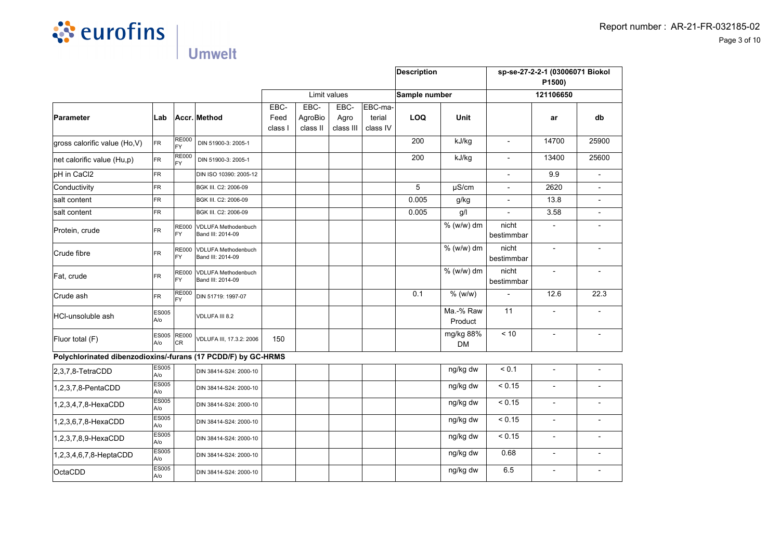

|                                                               |                     |                           |                                                 |                         |                             |                           | <b>Description</b>            |               | sp-se-27-2-2-1 (03006071 Biokol<br>P1500) |                          |                          |       |
|---------------------------------------------------------------|---------------------|---------------------------|-------------------------------------------------|-------------------------|-----------------------------|---------------------------|-------------------------------|---------------|-------------------------------------------|--------------------------|--------------------------|-------|
|                                                               |                     |                           |                                                 |                         |                             | Limit values              |                               | Sample number |                                           |                          | 121106650                |       |
| <b>Parameter</b>                                              | Lab                 |                           | Accr. Method                                    | EBC-<br>Feed<br>class I | EBC-<br>AgroBio<br>class II | EBC-<br>Agro<br>class III | EBC-ma-<br>terial<br>class IV | <b>LOQ</b>    | <b>Unit</b>                               |                          | ar                       | db    |
| gross calorific value (Ho,V)                                  | FR.                 | <b>RE000</b><br>FY        | DIN 51900-3: 2005-1                             |                         |                             |                           |                               | 200           | kJ/kg                                     | $\blacksquare$           | 14700                    | 25900 |
| net calorific value (Hu,p)                                    | FR.                 | <b>RE000</b><br><b>FY</b> | DIN 51900-3: 2005-1                             |                         |                             |                           |                               | 200           | kJ/kg                                     |                          | 13400                    | 25600 |
| pH in CaCl2                                                   | <b>FR</b>           |                           | DIN ISO 10390: 2005-12                          |                         |                             |                           |                               |               |                                           |                          | 9.9                      |       |
| Conductivity                                                  | FR.                 |                           | BGK III. C2: 2006-09                            |                         |                             |                           |                               | 5             | $\mu$ S/cm                                | $\overline{\phantom{a}}$ | 2620                     |       |
| salt content                                                  | FR                  |                           | BGK III. C2: 2006-09                            |                         |                             |                           |                               | 0.005         | g/kg                                      | $\overline{\phantom{a}}$ | 13.8                     |       |
| salt content                                                  | <b>FR</b>           |                           | BGK III. C2: 2006-09                            |                         |                             |                           |                               | 0.005         | g/                                        | $\overline{a}$           | 3.58                     |       |
| Protein, crude                                                | <b>FR</b>           | <b>RE000</b><br><b>FY</b> | <b>VDLUFA Methodenbuch</b><br>Band III: 2014-09 |                         |                             |                           |                               |               | % (w/w) dm                                | nicht<br>bestimmbar      |                          |       |
| Crude fibre                                                   | <b>FR</b>           | <b>RE000</b><br><b>FY</b> | <b>VDLUFA Methodenbuch</b><br>Band III: 2014-09 |                         |                             |                           |                               |               | % (w/w) dm                                | nicht<br>bestimmbar      | $\overline{\phantom{a}}$ |       |
| Fat, crude                                                    | <b>FR</b>           | <b>RE000</b><br><b>FY</b> | <b>VDLUFA Methodenbuch</b><br>Band III: 2014-09 |                         |                             |                           |                               |               | % (w/w) dm                                | nicht<br>bestimmbar      | $\overline{\phantom{a}}$ |       |
| Crude ash                                                     | <b>FR</b>           | <b>RE000</b><br><b>FY</b> | DIN 51719: 1997-07                              |                         |                             |                           |                               | 0.1           | % (w/w)                                   |                          | 12.6                     | 22.3  |
| <b>HCI-unsoluble ash</b>                                      | <b>ES005</b><br>A/o |                           | VDLUFA III 8.2                                  |                         |                             |                           |                               |               | Ma.-% Raw<br>Product                      | 11                       | $\overline{\phantom{a}}$ |       |
| Fluor total (F)                                               | <b>ES005</b><br>A/o | <b>RE000</b><br>CR.       | VDLUFA III, 17.3.2: 2006                        | 150                     |                             |                           |                               |               | mg/kg 88%<br><b>DM</b>                    | < 10                     | $\blacksquare$           |       |
| Polychlorinated dibenzodioxins/-furans (17 PCDD/F) by GC-HRMS |                     |                           |                                                 |                         |                             |                           |                               |               |                                           |                          |                          |       |
| $2,3,7,8$ -TetraCDD                                           | ES005<br>A/o        |                           | DIN 38414-S24: 2000-10                          |                         |                             |                           |                               |               | ng/kg dw                                  | < 0.1                    | $\overline{\phantom{0}}$ |       |
| 1,2,3,7,8-PentaCDD                                            | <b>ES005</b><br>A/o |                           | DIN 38414-S24: 2000-10                          |                         |                             |                           |                               |               | ng/kg dw                                  | < 0.15                   | $\overline{a}$           |       |
| 1,2,3,4,7,8-HexaCDD                                           | <b>ES005</b><br>A/o |                           | DIN 38414-S24: 2000-10                          |                         |                             |                           |                               |               | ng/kg dw                                  | < 0.15                   | $\overline{\phantom{0}}$ |       |
| 1,2,3,6,7,8-HexaCDD                                           | <b>ES005</b><br>A/o |                           | DIN 38414-S24: 2000-10                          |                         |                             |                           |                               |               | ng/kg dw                                  | < 0.15                   | $\overline{\phantom{0}}$ |       |
| 1,2,3,7,8,9-HexaCDD                                           | <b>ES005</b><br>A/o |                           | DIN 38414-S24: 2000-10                          |                         |                             |                           |                               |               | ng/kg dw                                  | < 0.15                   | $\overline{\phantom{a}}$ |       |
| 1,2,3,4,6,7,8-HeptaCDD                                        | <b>ES005</b><br>A/o |                           | DIN 38414-S24: 2000-10                          |                         |                             |                           |                               |               | ng/kg dw                                  | 0.68                     | $\overline{\phantom{0}}$ |       |
| OctaCDD                                                       | <b>ES005</b><br>A/o |                           | DIN 38414-S24: 2000-10                          |                         |                             |                           |                               |               | ng/kg dw                                  | 6.5                      |                          |       |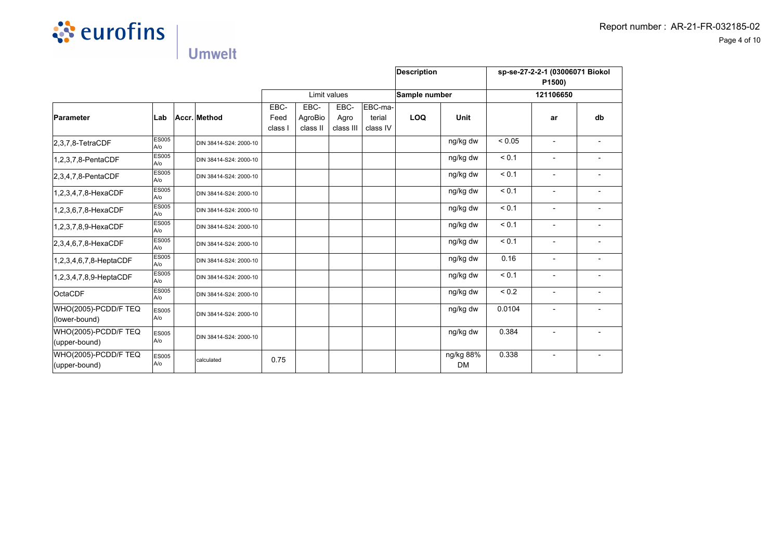

|                                       |                      |                        |                         |                             |                           |                               | <b>Description</b> |                        |             | sp-se-27-2-2-1 (03006071 Biokol<br>P1500) |    |
|---------------------------------------|----------------------|------------------------|-------------------------|-----------------------------|---------------------------|-------------------------------|--------------------|------------------------|-------------|-------------------------------------------|----|
|                                       |                      |                        |                         |                             | Limit values              |                               | Sample number      |                        | 121106650   |                                           |    |
| Parameter                             | Lab                  | Accr. Method           | EBC-<br>Feed<br>class I | EBC-<br>AgroBio<br>class II | EBC-<br>Agro<br>class III | EBC-ma-<br>terial<br>class IV | <b>LOQ</b>         | <b>Unit</b>            |             | ar                                        | db |
| $ 2,3,7,8$ -TetraCDF                  | <b>ES005</b><br>A/o  | DIN 38414-S24: 2000-10 |                         |                             |                           |                               |                    | ng/kg dw               | ${}_{0.05}$ | $\blacksquare$                            |    |
| 1,2,3,7,8-PentaCDF                    | <b>ES005</b><br>A/o  | DIN 38414-S24: 2000-10 |                         |                             |                           |                               |                    | ng/kg dw               | < 0.1       |                                           |    |
| $ 2,3,4,7,8$ -PentaCDF                | <b>ES005</b><br>A/o  | DIN 38414-S24: 2000-10 |                         |                             |                           |                               |                    | ng/kg dw               | < 0.1       |                                           |    |
| 1,2,3,4,7,8-HexaCDF                   | <b>ES005</b><br>A/o  | DIN 38414-S24: 2000-10 |                         |                             |                           |                               |                    | ng/kg dw               | < 0.1       | $\overline{\phantom{0}}$                  |    |
| 1,2,3,6,7,8-HexaCDF                   | <b>ES005</b><br>A/o  | DIN 38414-S24: 2000-10 |                         |                             |                           |                               |                    | ng/kg dw               | < 0.1       |                                           |    |
| 1,2,3,7,8,9-HexaCDF                   | <b>ES005</b><br>A/o  | DIN 38414-S24: 2000-10 |                         |                             |                           |                               |                    | ng/kg dw               | < 0.1       |                                           |    |
| 2,3,4,6,7,8-HexaCDF                   | <b>ES005</b><br>A/o  | DIN 38414-S24: 2000-10 |                         |                             |                           |                               |                    | ng/kg dw               | < 0.1       | $\overline{\phantom{a}}$                  |    |
| 1,2,3,4,6,7,8-HeptaCDF                | <b>ES005</b><br>lA/o | DIN 38414-S24: 2000-10 |                         |                             |                           |                               |                    | ng/kg dw               | 0.16        | $\overline{\phantom{a}}$                  |    |
| 1,2,3,4,7,8,9-HeptaCDF                | <b>ES005</b><br>A/o  | DIN 38414-S24: 2000-10 |                         |                             |                           |                               |                    | ng/kg dw               | < 0.1       | $\overline{\phantom{a}}$                  |    |
| <b>OctaCDF</b>                        | <b>ES005</b><br>A/o  | DIN 38414-S24: 2000-10 |                         |                             |                           |                               |                    | ng/kg dw               | ${}_{0.2}$  | $\overline{\phantom{a}}$                  |    |
| WHO(2005)-PCDD/F TEQ<br>(lower-bound) | <b>ES005</b><br>A/o  | DIN 38414-S24: 2000-10 |                         |                             |                           |                               |                    | ng/kg dw               | 0.0104      | $\overline{\phantom{a}}$                  |    |
| WHO(2005)-PCDD/F TEQ<br>(upper-bound) | <b>ES005</b><br>A/o  | DIN 38414-S24: 2000-10 |                         |                             |                           |                               |                    | ng/kg dw               | 0.384       |                                           |    |
| WHO(2005)-PCDD/F TEQ<br>(upper-bound) | <b>ES005</b><br>lA/o | Icalculated            | 0.75                    |                             |                           |                               |                    | ng/kg 88%<br><b>DM</b> | 0.338       |                                           |    |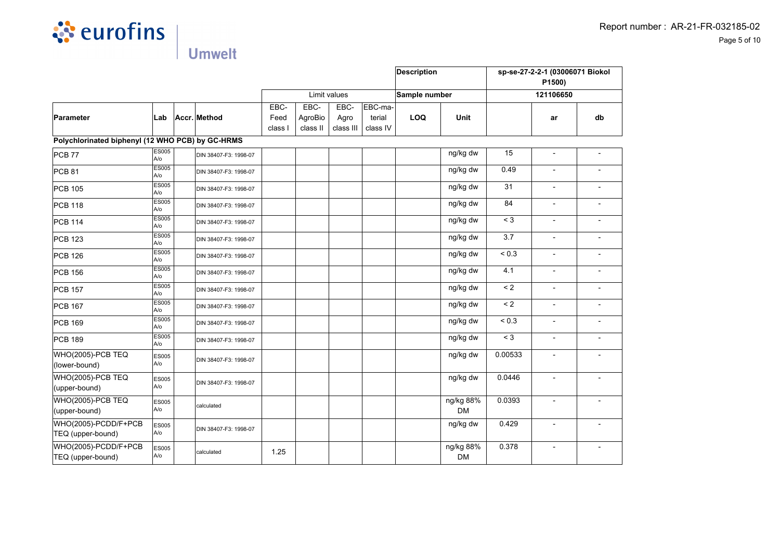

|                                                  |                     |                       |         |          |              |          | <b>Description</b> |                        | sp-se-27-2-2-1 (03006071 Biokol<br>P1500) |                          |                          |
|--------------------------------------------------|---------------------|-----------------------|---------|----------|--------------|----------|--------------------|------------------------|-------------------------------------------|--------------------------|--------------------------|
|                                                  |                     |                       |         |          | Limit values |          | Sample number      |                        |                                           | 121106650                |                          |
|                                                  |                     |                       | EBC-    | EBC-     | EBC-         | EBC-ma-  |                    |                        |                                           |                          |                          |
| Parameter                                        | Lab                 | Accr. Method          | Feed    | AgroBio  | Agro         | terial   | LOQ                | <b>Unit</b>            |                                           | ar                       | db                       |
|                                                  |                     |                       | class I | class II | class III    | class IV |                    |                        |                                           |                          |                          |
| Polychlorinated biphenyl (12 WHO PCB) by GC-HRMS |                     |                       |         |          |              |          |                    |                        |                                           |                          |                          |
| <b>PCB 77</b>                                    | <b>ES005</b><br>A/o | DIN 38407-F3: 1998-07 |         |          |              |          |                    | ng/kg dw               | 15                                        |                          |                          |
| <b>PCB 81</b>                                    | <b>ES005</b><br>A/o | DIN 38407-F3: 1998-07 |         |          |              |          |                    | ng/kg dw               | 0.49                                      |                          |                          |
| <b>PCB 105</b>                                   | <b>ES005</b><br>A/o | DIN 38407-F3: 1998-07 |         |          |              |          |                    | ng/kg dw               | 31                                        | $\overline{\phantom{a}}$ | $\overline{\phantom{0}}$ |
| PCB 118                                          | ES005<br>A/o        | DIN 38407-F3: 1998-07 |         |          |              |          |                    | ng/kg dw               | 84                                        | $\blacksquare$           | ÷,                       |
| <b>PCB 114</b>                                   | <b>ES005</b><br>A/o | DIN 38407-F3: 1998-07 |         |          |              |          |                    | ng/kg dw               | $\leq 3$                                  |                          | $\overline{\phantom{0}}$ |
| <b>PCB 123</b>                                   | <b>ES005</b><br>A/o | DIN 38407-F3: 1998-07 |         |          |              |          |                    | ng/kg dw               | $\overline{3.7}$                          | $\blacksquare$           |                          |
| <b>PCB 126</b>                                   | <b>ES005</b><br>A/o | DIN 38407-F3: 1998-07 |         |          |              |          |                    | ng/kg dw               | ${}_{0.3}$                                |                          | ÷,                       |
| PCB 156                                          | <b>ES005</b><br>A/o | DIN 38407-F3: 1998-07 |         |          |              |          |                    | ng/kg dw               | 4.1                                       |                          | $\overline{a}$           |
| <b>PCB 157</b>                                   | <b>ES005</b><br>A/o | DIN 38407-F3: 1998-07 |         |          |              |          |                    | ng/kg dw               | $\leq$ 2                                  | $\overline{\phantom{a}}$ | $\overline{\phantom{a}}$ |
| <b>PCB 167</b>                                   | <b>ES005</b><br>A/o | DIN 38407-F3: 1998-07 |         |          |              |          |                    | ng/kg dw               | $\leq 2$                                  | $\overline{\phantom{a}}$ | $\blacksquare$           |
| PCB 169                                          | <b>ES005</b><br>A/o | DIN 38407-F3: 1998-07 |         |          |              |          |                    | ng/kg dw               | ${}_{0.3}$                                | $\blacksquare$           | $\overline{a}$           |
| PCB 189                                          | <b>ES005</b><br>A/o | DIN 38407-F3: 1998-07 |         |          |              |          |                    | ng/kg dw               | $<$ 3                                     |                          |                          |
| WHO(2005)-PCB TEQ<br>(lower-bound)               | <b>ES005</b><br>A/o | DIN 38407-F3: 1998-07 |         |          |              |          |                    | ng/kg dw               | 0.00533                                   |                          |                          |
| WHO(2005)-PCB TEQ<br>(upper-bound)               | <b>ES005</b><br>A/o | DIN 38407-F3: 1998-07 |         |          |              |          |                    | ng/kg dw               | 0.0446                                    | $\overline{\phantom{a}}$ |                          |
| WHO(2005)-PCB TEQ<br>(upper-bound)               | ES005<br>A/o        | calculated            |         |          |              |          |                    | ng/kg 88%<br><b>DM</b> | 0.0393                                    | $\overline{a}$           |                          |
| WHO(2005)-PCDD/F+PCB<br>TEQ (upper-bound)        | <b>ES005</b><br>A/o | DIN 38407-F3: 1998-07 |         |          |              |          |                    | ng/kg dw               | 0.429                                     |                          |                          |
| WHO(2005)-PCDD/F+PCB<br>TEQ (upper-bound)        | <b>ES005</b><br>A/o | calculated            | 1.25    |          |              |          |                    | ng/kg 88%<br><b>DM</b> | 0.378                                     | $\overline{\phantom{a}}$ |                          |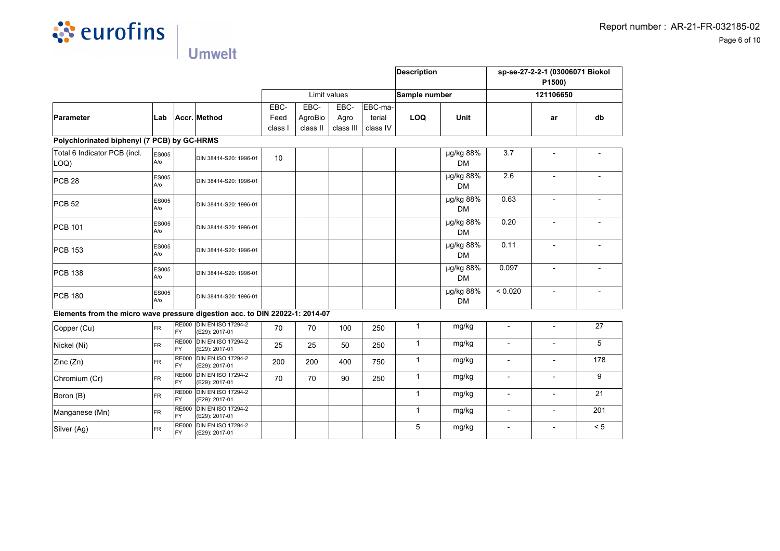

|                                                                              |                     |                           |                                             |                         |                             | <b>Description</b>        |                               | sp-se-27-2-2-1 (03006071 Biokol<br>P1500) |                             |                          |                          |                |
|------------------------------------------------------------------------------|---------------------|---------------------------|---------------------------------------------|-------------------------|-----------------------------|---------------------------|-------------------------------|-------------------------------------------|-----------------------------|--------------------------|--------------------------|----------------|
|                                                                              |                     |                           |                                             |                         |                             | Limit values              |                               | Sample number                             |                             |                          | 121106650                |                |
| Parameter                                                                    | Lab                 |                           | Accr. Method                                | EBC-<br>Feed<br>class I | EBC-<br>AgroBio<br>class II | EBC-<br>Agro<br>class III | EBC-ma-<br>terial<br>class IV | <b>LOQ</b>                                | Unit                        |                          | ar                       | db             |
| Polychlorinated biphenyl (7 PCB) by GC-HRMS                                  |                     |                           |                                             |                         |                             |                           |                               |                                           |                             |                          |                          |                |
| Total 6 Indicator PCB (incl.<br>LOQ)                                         | <b>ES005</b><br>A/o |                           | DIN 38414-S20: 1996-01                      | 10                      |                             |                           |                               |                                           | $\mu$ g/kg 88%<br><b>DM</b> | 3.7                      | $\overline{\phantom{a}}$ |                |
| PCB28                                                                        | <b>ES005</b><br>A/o |                           | DIN 38414-S20: 1996-01                      |                         |                             |                           |                               |                                           | µg/kg 88%<br><b>DM</b>      | 2.6                      | $\overline{a}$           |                |
| $PCB$ 52                                                                     | <b>ES005</b><br>A/o |                           | DIN 38414-S20: 1996-01                      |                         |                             |                           |                               |                                           | µg/kg 88%<br><b>DM</b>      | 0.63                     | $\overline{a}$           |                |
| PCB 101                                                                      | <b>ES005</b><br>A/o |                           | DIN 38414-S20: 1996-01                      |                         |                             |                           |                               |                                           | µg/kg 88%<br><b>DM</b>      | 0.20                     | $\overline{\phantom{a}}$ |                |
| PCB 153                                                                      | <b>ES005</b><br>A/o |                           | DIN 38414-S20: 1996-01                      |                         |                             |                           |                               |                                           | µg/kg 88%<br><b>DM</b>      | 0.11                     | $\overline{a}$           |                |
| PCB 138                                                                      | <b>ES005</b><br>A/o |                           | DIN 38414-S20: 1996-01                      |                         |                             |                           |                               |                                           | µg/kg 88%<br><b>DM</b>      | 0.097                    | $\overline{\phantom{0}}$ |                |
| PCB 180                                                                      | <b>ES005</b><br>A/o |                           | DIN 38414-S20: 1996-01                      |                         |                             |                           |                               |                                           | µg/kg 88%<br><b>DM</b>      | < 0.020                  | $\overline{\phantom{a}}$ | $\blacksquare$ |
| Elements from the micro wave pressure digestion acc. to DIN 22022-1: 2014-07 |                     |                           |                                             |                         |                             |                           |                               |                                           |                             |                          |                          |                |
| Copper (Cu)                                                                  | <b>FR</b>           | <b>FY</b>                 | RE000 DIN EN ISO 17294-2<br>(E29): 2017-01  | 70                      | 70                          | 100                       | 250                           | $\mathbf{1}$                              | mg/kg                       | $\blacksquare$           | $\overline{\phantom{0}}$ | 27             |
| Nickel (Ni)                                                                  | <b>FR</b>           | <b>RE000</b><br><b>FY</b> | <b>DIN EN ISO 17294-2</b><br>(E29): 2017-01 | 25                      | 25                          | 50                        | 250                           | $\mathbf{1}$                              | mg/kg                       | $\overline{\phantom{a}}$ | $\overline{\phantom{0}}$ | 5              |
| Zinc (Zn)                                                                    | <b>FR</b>           | <b>RE000</b><br><b>FY</b> | <b>DIN EN ISO 17294-2</b><br>(E29): 2017-01 | 200                     | 200                         | 400                       | 750                           | $\mathbf{1}$                              | mg/kg                       | $\overline{\phantom{a}}$ |                          | 178            |
| Chromium (Cr)                                                                | <b>FR</b>           | <b>RE000</b><br>FY        | <b>DIN EN ISO 17294-2</b><br>(E29): 2017-01 | 70                      | 70                          | 90                        | 250                           | $\mathbf{1}$                              | mg/kg                       | $\overline{\phantom{a}}$ | $\overline{\phantom{a}}$ | 9              |
| Boron (B)                                                                    | <b>FR</b>           | <b>RE000</b><br><b>FY</b> | <b>DIN EN ISO 17294-2</b><br>(E29): 2017-01 |                         |                             |                           |                               | $\mathbf{1}$                              | mg/kg                       | $\blacksquare$           |                          | 21             |
| Manganese (Mn)                                                               | <b>FR</b>           | <b>RE000</b><br><b>FY</b> | <b>DIN EN ISO 17294-2</b><br>(E29): 2017-01 |                         |                             |                           |                               | $\mathbf{1}$                              | mg/kg                       | $\overline{\phantom{a}}$ | $\overline{a}$           | 201            |
| Silver (Ag)                                                                  | <b>FR</b>           | <b>RE000</b><br><b>FY</b> | <b>DIN EN ISO 17294-2</b><br>(E29): 2017-01 |                         |                             |                           |                               | 5                                         | mg/kg                       | $\blacksquare$           | $\overline{\phantom{0}}$ | < 5            |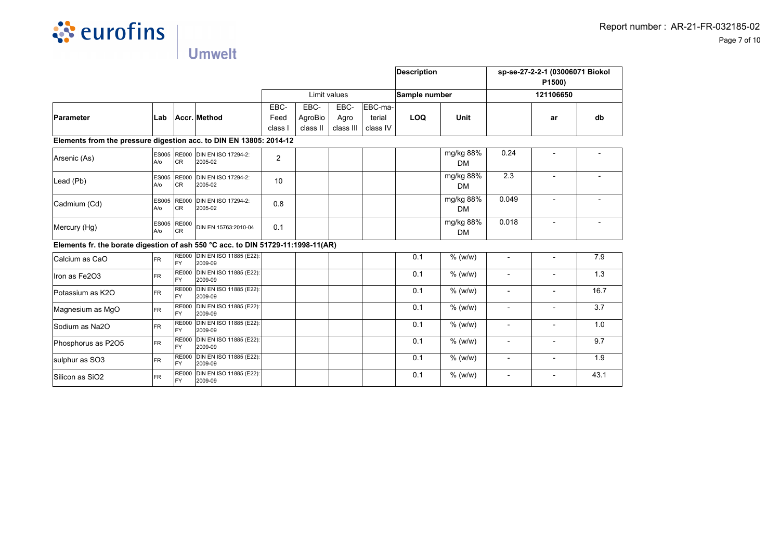

|                                                                                  |                        |                           |                                          |                         |                             |                           |                               | <b>Description</b> |                        | sp-se-27-2-2-1 (03006071 Biokol<br>P1500) |                          |      |
|----------------------------------------------------------------------------------|------------------------|---------------------------|------------------------------------------|-------------------------|-----------------------------|---------------------------|-------------------------------|--------------------|------------------------|-------------------------------------------|--------------------------|------|
|                                                                                  |                        |                           |                                          |                         |                             | Limit values              |                               | Sample number      |                        | 121106650                                 |                          |      |
| Parameter                                                                        | <b>Lab</b>             |                           | Accr. Method                             | EBC-<br>Feed<br>class I | EBC-<br>AgroBio<br>class II | EBC-<br>Agro<br>class III | EBC-ma-<br>terial<br>class IV | <b>LOQ</b>         | Unit                   |                                           | ar                       | db   |
| Elements from the pressure digestion acc. to DIN EN 13805: 2014-12               |                        |                           |                                          |                         |                             |                           |                               |                    |                        |                                           |                          |      |
| Arsenic (As)                                                                     | <b>ES005</b><br>lA/o   | CR                        | RE000 DIN EN ISO 17294-2:<br>2005-02     | 2                       |                             |                           |                               |                    | mg/kg 88%<br><b>DM</b> | 0.24                                      | $\overline{a}$           |      |
| Lead (Pb)                                                                        | ES005<br>A/o           | <b>RE000</b><br>CR        | DIN EN ISO 17294-2:<br>2005-02           | 10                      |                             |                           |                               |                    | mg/kg 88%<br><b>DM</b> | 2.3                                       |                          |      |
| Cadmium (Cd)                                                                     | <b>ES005</b><br>$A$ /o | <b>RE000</b><br>CR        | <b>DIN EN ISO 17294-2:</b><br>2005-02    | 0.8                     |                             |                           |                               |                    | mg/kg 88%<br><b>DM</b> | 0.049                                     |                          |      |
| Mercury (Hg)                                                                     | <b>ES005</b><br>A/o    | <b>RE000</b><br><b>CR</b> | DIN EN 15763:2010-04                     | 0.1                     |                             |                           |                               |                    | mg/kg 88%<br><b>DM</b> | 0.018                                     | $\overline{\phantom{a}}$ |      |
| Elements fr. the borate digestion of ash 550 °C acc. to DIN 51729-11:1998-11(AR) |                        |                           |                                          |                         |                             |                           |                               |                    |                        |                                           |                          |      |
| Calcium as CaO                                                                   | lfr.                   | <b>FY</b>                 | RE000 DIN EN ISO 11885 (E22):<br>2009-09 |                         |                             |                           |                               | 0.1                | $%$ (w/w)              | $\blacksquare$                            | $\overline{a}$           | 7.9  |
| Iron as Fe2O3                                                                    | lfr.                   | <b>RE000</b><br><b>FY</b> | DIN EN ISO 11885 (E22):<br>2009-09       |                         |                             |                           |                               | 0.1                | $%$ (w/w)              | $\blacksquare$                            | $\overline{a}$           | 1.3  |
| Potassium as K2O                                                                 | FR                     | <b>RE000</b><br>FY        | DIN EN ISO 11885 (E22):<br>2009-09       |                         |                             |                           |                               | 0.1                | $%$ (w/w)              | $\blacksquare$                            | $\blacksquare$           | 16.7 |
| Magnesium as MgO                                                                 | lfr.                   | <b>RE000</b><br><b>FY</b> | DIN EN ISO 11885 (E22):<br>2009-09       |                         |                             |                           |                               | 0.1                | $%$ (w/w)              | $\overline{\phantom{a}}$                  | $\overline{a}$           | 3.7  |
| Sodium as Na2O                                                                   | <b>FR</b>              | <b>RE000</b><br><b>FY</b> | DIN EN ISO 11885 (E22):<br>2009-09       |                         |                             |                           |                               | 0.1                | $%$ (w/w)              | $\blacksquare$                            |                          | 1.0  |
| Phosphorus as P2O5                                                               | lfr.                   | <b>RE000</b><br>FY.       | DIN EN ISO 11885 (E22):<br>2009-09       |                         |                             |                           |                               | 0.1                | $%$ (w/w)              |                                           |                          | 9.7  |
| sulphur as SO3                                                                   | lfr.                   | <b>RE000</b><br>FY.       | DIN EN ISO 11885 (E22):<br>2009-09       |                         |                             |                           |                               | 0.1                | % (w/w)                |                                           |                          | 1.9  |
| Silicon as SiO2                                                                  | <b>FR</b>              | <b>RE000</b><br>FY        | DIN EN ISO 11885 (E22):<br>2009-09       |                         |                             |                           |                               | 0.1                | % (w/w)                | $\blacksquare$                            |                          | 43.1 |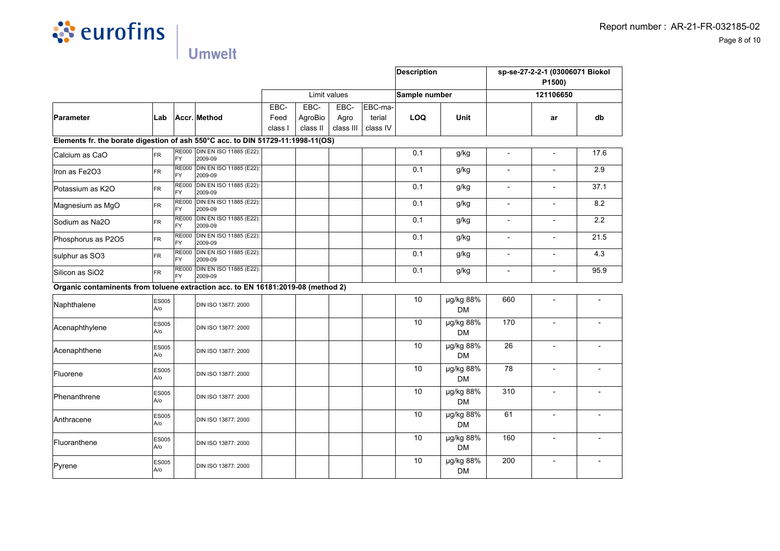

|                                                                                  |                           |                           |                                          |                         |                             |                           |                               | Description   |                        |                          | sp-se-27-2-2-1 (03006071 Biokol<br>P1500) |      |
|----------------------------------------------------------------------------------|---------------------------|---------------------------|------------------------------------------|-------------------------|-----------------------------|---------------------------|-------------------------------|---------------|------------------------|--------------------------|-------------------------------------------|------|
|                                                                                  |                           |                           |                                          |                         |                             | Limit values              |                               | Sample number |                        |                          | 121106650                                 |      |
| Parameter                                                                        | ∣Lab                      |                           | Accr. Method                             | EBC-<br>Feed<br>class I | EBC-<br>AgroBio<br>class II | EBC-<br>Agro<br>class III | EBC-ma-<br>terial<br>class IV | LOQ           | Unit                   |                          | ar                                        | db   |
| Elements fr. the borate digestion of ash 550°C acc. to DIN 51729-11:1998-11(OS)  |                           |                           |                                          |                         |                             |                           |                               |               |                        |                          |                                           |      |
| Calcium as CaO                                                                   | <b>FR</b>                 | <b>FY</b>                 | RE000 DIN EN ISO 11885 (E22):<br>2009-09 |                         |                             |                           |                               | 0.1           | g/kg                   | $\overline{\phantom{a}}$ | $\overline{\phantom{a}}$                  | 17.6 |
| Iron as Fe2O3                                                                    | <b>FR</b>                 | <b>RE000</b><br><b>FY</b> | DIN EN ISO 11885 (E22):<br>2009-09       |                         |                             |                           |                               | 0.1           | g/kg                   | $\blacksquare$           | $\blacksquare$                            | 2.9  |
| Potassium as K2O                                                                 | FR                        | <b>RE000</b><br>FY        | DIN EN ISO 11885 (E22):<br>2009-09       |                         |                             |                           |                               | 0.1           | g/kg                   | $\overline{\phantom{0}}$ | $\blacksquare$                            | 37.1 |
| Magnesium as MgO                                                                 | FR                        | <b>RE000</b><br>FY        | DIN EN ISO 11885 (E22):<br>2009-09       |                         |                             |                           |                               | 0.1           | g/kg                   | $\overline{\phantom{0}}$ | $\blacksquare$                            | 8.2  |
| Sodium as Na2O                                                                   | <b>FR</b>                 | <b>RE000</b><br>FY        | DIN EN ISO 11885 (E22):<br>2009-09       |                         |                             |                           |                               | 0.1           | g/kg                   | $\overline{\phantom{a}}$ | $\blacksquare$                            | 2.2  |
| Phosphorus as P2O5                                                               | <b>FR</b>                 | <b>RE000</b><br>FY        | DIN EN ISO 11885 (E22):<br>2009-09       |                         |                             |                           |                               | 0.1           | g/kg                   | $\overline{\phantom{0}}$ | $\overline{a}$                            | 21.5 |
| sulphur as SO3                                                                   | <b>FR</b>                 | <b>RE000</b><br>FY        | DIN EN ISO 11885 (E22):<br>2009-09       |                         |                             |                           |                               | 0.1           | g/kg                   | $\overline{\phantom{0}}$ | $\blacksquare$                            | 4.3  |
| Silicon as SiO2                                                                  | <b>FR</b>                 | <b>RE000</b><br>FY        | DIN EN ISO 11885 (E22):<br>2009-09       |                         |                             |                           |                               | 0.1           | g/kg                   | $\overline{\phantom{a}}$ | $\blacksquare$                            | 95.9 |
| Organic contaminents from toluene extraction acc. to EN 16181:2019-08 (method 2) |                           |                           |                                          |                         |                             |                           |                               |               |                        |                          |                                           |      |
| Naphthalene                                                                      | <b>ES005</b><br>A/O       |                           | DIN ISO 13877: 2000                      |                         |                             |                           |                               | 10            | µg/kg 88%<br><b>DM</b> | 660                      |                                           |      |
| Acenaphthylene                                                                   | <b>ES005</b><br>A/O       |                           | DIN ISO 13877: 2000                      |                         |                             |                           |                               | 10            | µg/kg 88%<br><b>DM</b> | 170                      | $\blacksquare$                            |      |
| Acenaphthene                                                                     | <b>ES005</b><br>A/o       |                           | DIN ISO 13877: 2000                      |                         |                             |                           |                               | 10            | µg/kg 88%<br><b>DM</b> | 26                       | $\mathbf{r}$                              |      |
| Fluorene                                                                         | <b>ES005</b><br>A/o       |                           | DIN ISO 13877: 2000                      |                         |                             |                           |                               | 10            | µg/kg 88%<br><b>DM</b> | 78                       | $\overline{\phantom{a}}$                  |      |
| Phenanthrene                                                                     | <b>ES005</b><br>A/o       |                           | DIN ISO 13877: 2000                      |                         |                             |                           |                               | 10            | µg/kg 88%<br><b>DM</b> | 310                      |                                           |      |
| Anthracene                                                                       | <b>ES005</b><br>$A$ / $O$ |                           | DIN ISO 13877: 2000                      |                         |                             |                           |                               | 10            | µg/kg 88%<br><b>DM</b> | 61                       |                                           |      |
| Fluoranthene                                                                     | <b>ES005</b><br>A/o       |                           | DIN ISO 13877: 2000                      |                         |                             |                           |                               | 10            | µg/kg 88%<br><b>DM</b> | 160                      | $\blacksquare$                            |      |
| Pyrene                                                                           | <b>ES005</b><br>A/o       |                           | DIN ISO 13877: 2000                      |                         |                             |                           |                               | 10            | µg/kg 88%<br><b>DM</b> | 200                      | $\overline{a}$                            |      |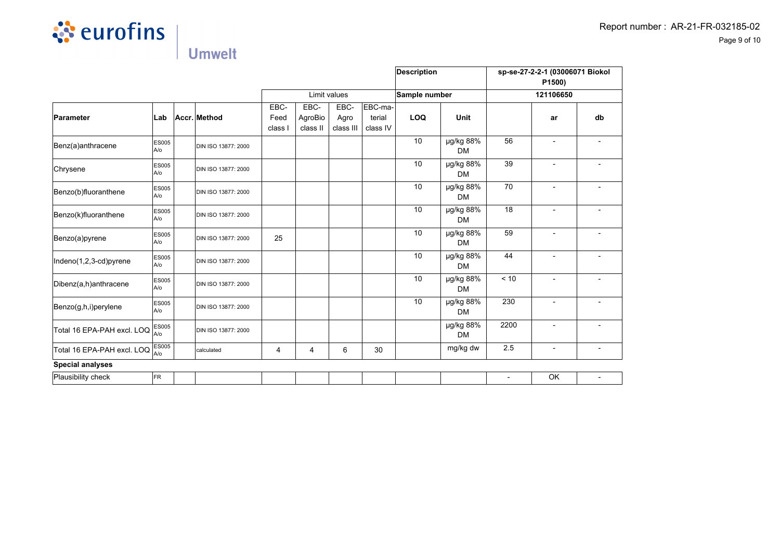

|                            |                        |                     |                         |                             |                           |                               | <b>Description</b> |                        | sp-se-27-2-2-1 (03006071 Biokol<br>P1500)<br>121106650 |                          |    |  |
|----------------------------|------------------------|---------------------|-------------------------|-----------------------------|---------------------------|-------------------------------|--------------------|------------------------|--------------------------------------------------------|--------------------------|----|--|
|                            |                        |                     |                         |                             | Limit values              |                               | Sample number      |                        |                                                        |                          |    |  |
| Parameter                  | Lab                    | Accr. Method        | EBC-<br>Feed<br>class I | EBC-<br>AgroBio<br>class II | EBC-<br>Agro<br>class III | EBC-ma-<br>terial<br>class IV | <b>LOQ</b>         | Unit                   |                                                        | ar                       | db |  |
| Benz(a)anthracene          | <b>ES005</b><br>A/o    | DIN ISO 13877: 2000 |                         |                             |                           |                               | 10                 | µg/kg 88%<br><b>DM</b> | 56                                                     | $\overline{\phantom{0}}$ |    |  |
| Chrysene                   | <b>ES005</b><br>$A$ /o | DIN ISO 13877: 2000 |                         |                             |                           |                               | 10                 | µg/kg 88%<br><b>DM</b> | 39                                                     | $\overline{\phantom{0}}$ |    |  |
| Benzo(b)fluoranthene       | <b>ES005</b><br>A/o    | DIN ISO 13877: 2000 |                         |                             |                           |                               | 10                 | µg/kg 88%<br><b>DM</b> | 70                                                     | $\overline{a}$           |    |  |
| Benzo(k)fluoranthene       | <b>ES005</b><br>A/o    | DIN ISO 13877: 2000 |                         |                             |                           |                               | 10                 | µg/kg 88%<br><b>DM</b> | 18                                                     | $\overline{a}$           |    |  |
| Benzo(a)pyrene             | <b>ES005</b><br>A/o    | DIN ISO 13877: 2000 | 25                      |                             |                           |                               | 10                 | µg/kg 88%<br><b>DM</b> | 59                                                     | $\overline{\phantom{0}}$ |    |  |
| Indeno(1,2,3-cd)pyrene     | <b>ES005</b><br>lA/o   | DIN ISO 13877: 2000 |                         |                             |                           |                               | 10                 | µg/kg 88%<br><b>DM</b> | 44                                                     | $\overline{a}$           |    |  |
| Dibenz(a,h)anthracene      | <b>ES005</b><br>A/o    | DIN ISO 13877: 2000 |                         |                             |                           |                               | 10                 | µg/kg 88%<br><b>DM</b> | < 10                                                   |                          |    |  |
| Benzo(g,h,i)perylene       | <b>ES005</b><br>A/O    | DIN ISO 13877: 2000 |                         |                             |                           |                               | 10                 | µg/kg 88%<br><b>DM</b> | 230                                                    | $\overline{\phantom{0}}$ |    |  |
| Total 16 EPA-PAH excl. LOQ | ES005<br>A/o           | DIN ISO 13877: 2000 |                         |                             |                           |                               |                    | µg/kg 88%<br><b>DM</b> | 2200                                                   | $\overline{a}$           |    |  |
| Total 16 EPA-PAH excl. LOQ | ES005<br>A/o           | calculated          | 4                       | 4                           | 6                         | 30                            |                    | mg/kg dw               | 2.5                                                    | $\overline{a}$           |    |  |
| <b>Special analyses</b>    |                        |                     |                         |                             |                           |                               |                    |                        |                                                        |                          |    |  |
| Plausibility check         | <b>FR</b>              |                     |                         |                             |                           |                               |                    |                        | $\overline{\phantom{a}}$                               | OK                       |    |  |